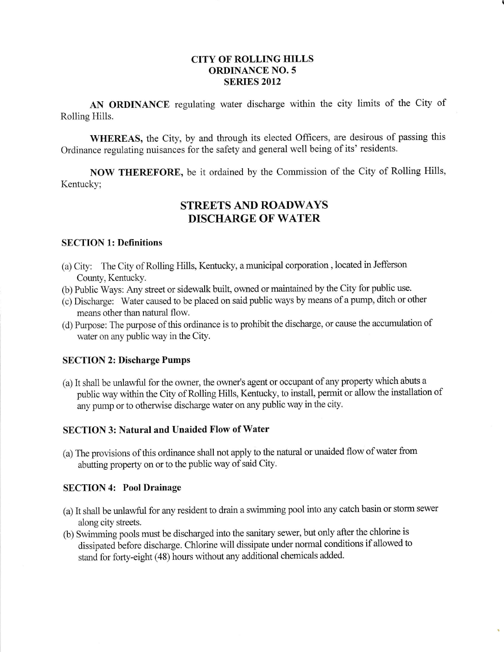## CITY OF ROLLING HILLS ORDINANCE NO. 5 **SERIES 2012**

AN ORDINANCE regulating water discharge within the city limits of the City of Rolling Hills.

WHEREAS, the City, by and through its elected Officers, are desirous of passing this Ordinance regulating nuisances for the safety and general well being of its' residents.

NOW THEREFORE, be it ordained by the Commission of the City of Rolling Hills, Kentucky;

# STREETS AND ROADWAYS DISCHARGB OF WATER

#### SECTION 1: Definitions

- (a) City: The City of Rolling Hills, Kentucky, a municipal corporation, located in Jefferson County, Kentucky.
- (b) Public Ways: Any street or sidewalk built, owned or maintained by the City for public use.
- (c) Discharge: Water caused to be placed on said public ways by means of a pump, ditch or other means other than natural flow.
- (d) Purpose: The purpose of this ordinance is to prohibit the discharge, or cause the accumulation of water on any public way in the City.

## SECTION 2: Discharge Pumps

(a) It shall be unlawful for the owner, the owner's agent or occupant of any property which abuts a public way within the City of Rolling Hills, Kentucky, to instail, permit or allow the installation of any pump or to otherwise discharge water on any public way in the city.

## SECTION 3: Natural and Unaided Flow of Water

(a) The provisions of this ordinance shall not apply to the natural or unaided flow of water from abutting property on or to the public way of said City.

#### SECTION 4: Pool Drainage

- (a) It shall be unlawful for any resident to drain a swimming pool into any catch basin or storm sewer along city streets.
- (b) Swimming pools must be discharged into the sanitary sewer, but only after the chlorine is dissipated before discharge. Chlorine will dissipate under normal conditions if allowed to stand for forty-eight (48) hours without any additional chemicals added.